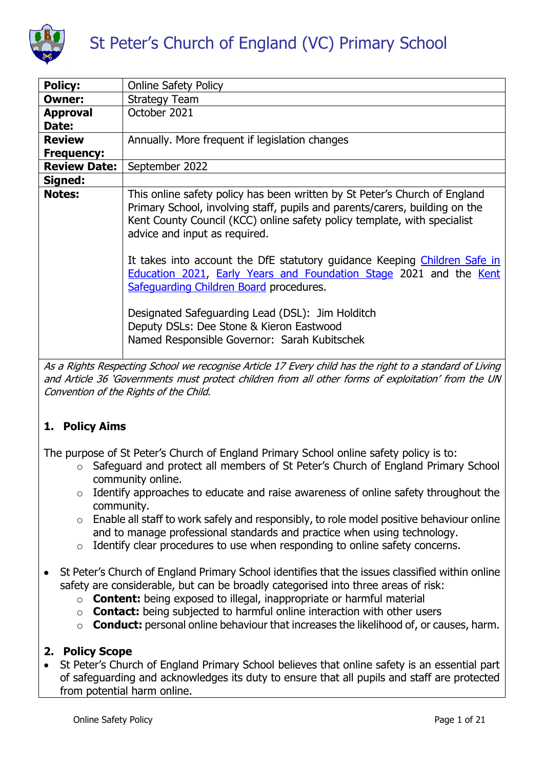

| <b>Policy:</b>      | <b>Online Safety Policy</b>                                                                                                                                                                                                                                            |
|---------------------|------------------------------------------------------------------------------------------------------------------------------------------------------------------------------------------------------------------------------------------------------------------------|
| Owner:              | <b>Strategy Team</b>                                                                                                                                                                                                                                                   |
| <b>Approval</b>     | October 2021                                                                                                                                                                                                                                                           |
| Date:               |                                                                                                                                                                                                                                                                        |
| <b>Review</b>       | Annually. More frequent if legislation changes                                                                                                                                                                                                                         |
| <b>Frequency:</b>   |                                                                                                                                                                                                                                                                        |
| <b>Review Date:</b> | September 2022                                                                                                                                                                                                                                                         |
| Signed:             |                                                                                                                                                                                                                                                                        |
| <b>Notes:</b>       | This online safety policy has been written by St Peter's Church of England<br>Primary School, involving staff, pupils and parents/carers, building on the<br>Kent County Council (KCC) online safety policy template, with specialist<br>advice and input as required. |
|                     | It takes into account the DfE statutory guidance Keeping Children Safe in<br>Education 2021, Early Years and Foundation Stage 2021 and the Kent<br>Safeguarding Children Board procedures.                                                                             |
|                     | Designated Safeguarding Lead (DSL): Jim Holditch<br>Deputy DSLs: Dee Stone & Kieron Eastwood<br>Named Responsible Governor: Sarah Kubitschek                                                                                                                           |

As a Rights Respecting School we recognise Article 17 Every child has the right to a standard of Living and Article 36 'Governments must protect children from all other forms of exploitation' from the UN Convention of the Rights of the Child.

# **1. Policy Aims**

The purpose of St Peter's Church of England Primary School online safety policy is to:

- o Safeguard and protect all members of St Peter's Church of England Primary School community online.
- o Identify approaches to educate and raise awareness of online safety throughout the community.
- o Enable all staff to work safely and responsibly, to role model positive behaviour online and to manage professional standards and practice when using technology.
- o Identify clear procedures to use when responding to online safety concerns.
- St Peter's Church of England Primary School identifies that the issues classified within online safety are considerable, but can be broadly categorised into three areas of risk:
	- o **Content:** being exposed to illegal, inappropriate or harmful material
	- o **Contact:** being subjected to harmful online interaction with other users
	- o **Conduct:** personal online behaviour that increases the likelihood of, or causes, harm.

## **2. Policy Scope**

 St Peter's Church of England Primary School believes that online safety is an essential part of safeguarding and acknowledges its duty to ensure that all pupils and staff are protected from potential harm online.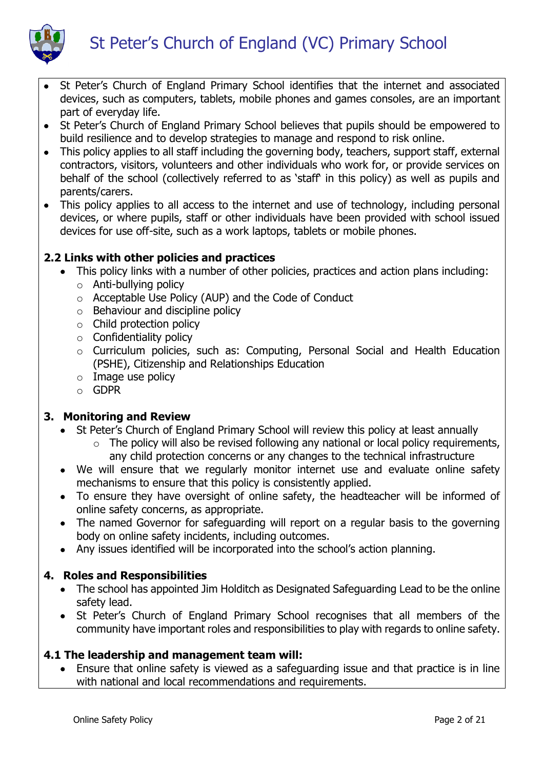



- St Peter's Church of England Primary School identifies that the internet and associated devices, such as computers, tablets, mobile phones and games consoles, are an important part of everyday life.
- St Peter's Church of England Primary School believes that pupils should be empowered to build resilience and to develop strategies to manage and respond to risk online.
- This policy applies to all staff including the governing body, teachers, support staff, external contractors, visitors, volunteers and other individuals who work for, or provide services on behalf of the school (collectively referred to as 'staff' in this policy) as well as pupils and parents/carers.
- This policy applies to all access to the internet and use of technology, including personal devices, or where pupils, staff or other individuals have been provided with school issued devices for use off-site, such as a work laptops, tablets or mobile phones.

## **2.2 Links with other policies and practices**

- This policy links with a number of other policies, practices and action plans including:
	- o Anti-bullying policy
	- o Acceptable Use Policy (AUP) and the Code of Conduct
	- $\circ$  Behaviour and discipline policy
	- $\circ$  Child protection policy
	- $\circ$  Confidentiality policy
	- o Curriculum policies, such as: Computing, Personal Social and Health Education (PSHE), Citizenship and Relationships Education
	- $\circ$  Image use policy
	- o GDPR

## **3. Monitoring and Review**

- St Peter's Church of England Primary School will review this policy at least annually
	- $\circ$  The policy will also be revised following any national or local policy requirements, any child protection concerns or any changes to the technical infrastructure
- We will ensure that we regularly monitor internet use and evaluate online safety mechanisms to ensure that this policy is consistently applied.
- To ensure they have oversight of online safety, the headteacher will be informed of online safety concerns, as appropriate.
- The named Governor for safeguarding will report on a regular basis to the governing body on online safety incidents, including outcomes.
- Any issues identified will be incorporated into the school's action planning.

## **4. Roles and Responsibilities**

- The school has appointed Jim Holditch as Designated Safeguarding Lead to be the online safety lead.
- St Peter's Church of England Primary School recognises that all members of the community have important roles and responsibilities to play with regards to online safety.

## **4.1 The leadership and management team will:**

 Ensure that online safety is viewed as a safeguarding issue and that practice is in line with national and local recommendations and requirements.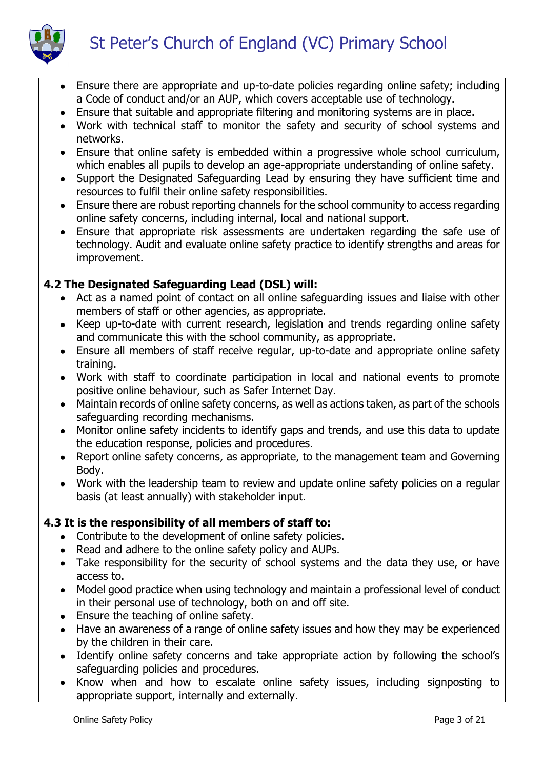

- Ensure there are appropriate and up-to-date policies regarding online safety; including a Code of conduct and/or an AUP, which covers acceptable use of technology.
- Ensure that suitable and appropriate filtering and monitoring systems are in place.
- Work with technical staff to monitor the safety and security of school systems and networks.
- Ensure that online safety is embedded within a progressive whole school curriculum, which enables all pupils to develop an age-appropriate understanding of online safety.
- Support the Designated Safeguarding Lead by ensuring they have sufficient time and resources to fulfil their online safety responsibilities.
- Ensure there are robust reporting channels for the school community to access regarding online safety concerns, including internal, local and national support.
- Ensure that appropriate risk assessments are undertaken regarding the safe use of technology. Audit and evaluate online safety practice to identify strengths and areas for improvement.

# **4.2 The Designated Safeguarding Lead (DSL) will:**

- Act as a named point of contact on all online safeguarding issues and liaise with other members of staff or other agencies, as appropriate.
- Keep up-to-date with current research, legislation and trends regarding online safety and communicate this with the school community, as appropriate.
- Ensure all members of staff receive regular, up-to-date and appropriate online safety training.
- Work with staff to coordinate participation in local and national events to promote positive online behaviour, such as Safer Internet Day.
- Maintain records of online safety concerns, as well as actions taken, as part of the schools safeguarding recording mechanisms.
- Monitor online safety incidents to identify gaps and trends, and use this data to update the education response, policies and procedures.
- Report online safety concerns, as appropriate, to the management team and Governing Body.
- Work with the leadership team to review and update online safety policies on a regular basis (at least annually) with stakeholder input.

# **4.3 It is the responsibility of all members of staff to:**

- Contribute to the development of online safety policies.
- Read and adhere to the online safety policy and AUPs.
- Take responsibility for the security of school systems and the data they use, or have access to.
- Model good practice when using technology and maintain a professional level of conduct in their personal use of technology, both on and off site.
- Ensure the teaching of online safety.
- Have an awareness of a range of online safety issues and how they may be experienced by the children in their care.
- Identify online safety concerns and take appropriate action by following the school's safeguarding policies and procedures.
- Know when and how to escalate online safety issues, including signposting to appropriate support, internally and externally.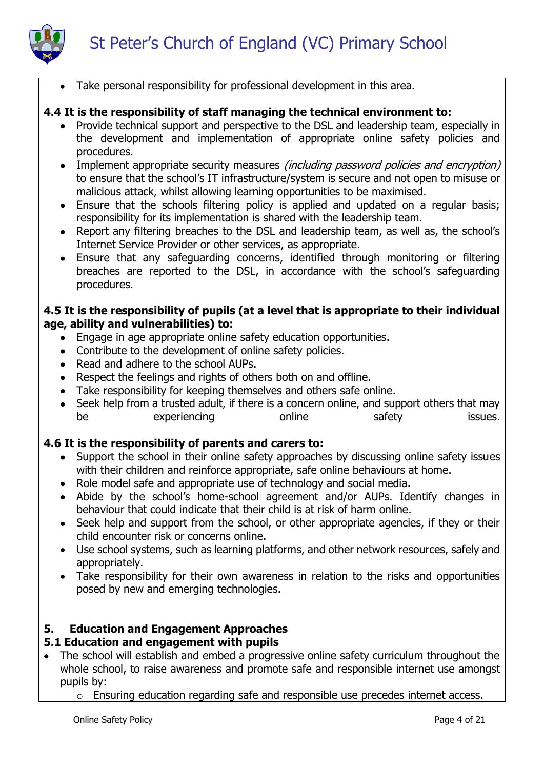

Take personal responsibility for professional development in this area.

## **4.4 It is the responsibility of staff managing the technical environment to:**

- Provide technical support and perspective to the DSL and leadership team, especially in the development and implementation of appropriate online safety policies and procedures.
- Implement appropriate security measures *(including password policies and encryption)* to ensure that the school's IT infrastructure/system is secure and not open to misuse or malicious attack, whilst allowing learning opportunities to be maximised.
- Ensure that the schools filtering policy is applied and updated on a regular basis; responsibility for its implementation is shared with the leadership team.
- Report any filtering breaches to the DSL and leadership team, as well as, the school's Internet Service Provider or other services, as appropriate.
- Ensure that any safeguarding concerns, identified through monitoring or filtering breaches are reported to the DSL, in accordance with the school's safeguarding procedures.

## **4.5 It is the responsibility of pupils (at a level that is appropriate to their individual age, ability and vulnerabilities) to:**

- Engage in age appropriate online safety education opportunities.
- Contribute to the development of online safety policies.
- Read and adhere to the school AUPs.
- Respect the feelings and rights of others both on and offline.
- Take responsibility for keeping themselves and others safe online.
- Seek help from a trusted adult, if there is a concern online, and support others that may be experiencing online safety issues.

# **4.6 It is the responsibility of parents and carers to:**

- Support the school in their online safety approaches by discussing online safety issues with their children and reinforce appropriate, safe online behaviours at home.
- Role model safe and appropriate use of technology and social media.
- Abide by the school's home-school agreement and/or AUPs. Identify changes in behaviour that could indicate that their child is at risk of harm online.
- Seek help and support from the school, or other appropriate agencies, if they or their child encounter risk or concerns online.
- Use school systems, such as learning platforms, and other network resources, safely and appropriately.
- Take responsibility for their own awareness in relation to the risks and opportunities posed by new and emerging technologies.

# **5. Education and Engagement Approaches**

# **5.1 Education and engagement with pupils**

- The school will establish and embed a progressive online safety curriculum throughout the whole school, to raise awareness and promote safe and responsible internet use amongst pupils by:
	- o Ensuring education regarding safe and responsible use precedes internet access.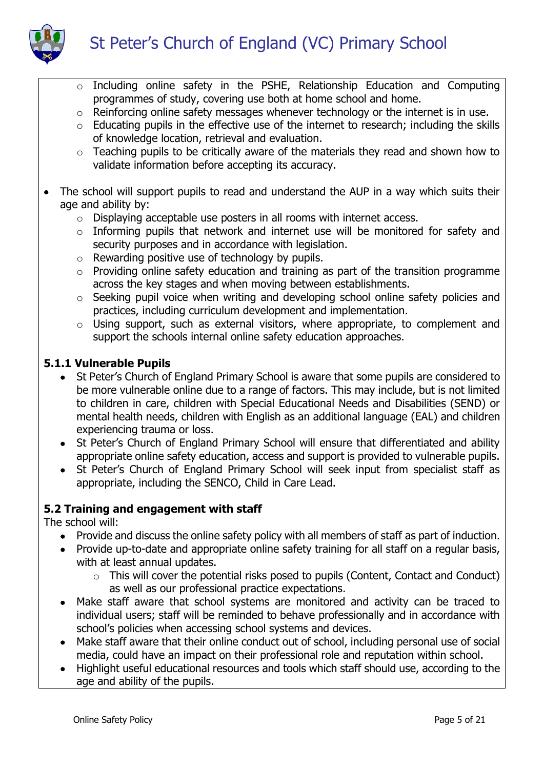

- o Including online safety in the PSHE, Relationship Education and Computing programmes of study, covering use both at home school and home.
- o Reinforcing online safety messages whenever technology or the internet is in use.
- $\circ$  Educating pupils in the effective use of the internet to research; including the skills of knowledge location, retrieval and evaluation.
- o Teaching pupils to be critically aware of the materials they read and shown how to validate information before accepting its accuracy.
- The school will support pupils to read and understand the AUP in a way which suits their age and ability by:
	- o Displaying acceptable use posters in all rooms with internet access.
	- o Informing pupils that network and internet use will be monitored for safety and security purposes and in accordance with legislation.
	- $\circ$  Rewarding positive use of technology by pupils.
	- $\circ$  Providing online safety education and training as part of the transition programme across the key stages and when moving between establishments.
	- o Seeking pupil voice when writing and developing school online safety policies and practices, including curriculum development and implementation.
	- o Using support, such as external visitors, where appropriate, to complement and support the schools internal online safety education approaches.

## **5.1.1 Vulnerable Pupils**

- St Peter's Church of England Primary School is aware that some pupils are considered to be more vulnerable online due to a range of factors. This may include, but is not limited to children in care, children with Special Educational Needs and Disabilities (SEND) or mental health needs, children with English as an additional language (EAL) and children experiencing trauma or loss.
- St Peter's Church of England Primary School will ensure that differentiated and ability appropriate online safety education, access and support is provided to vulnerable pupils.
- St Peter's Church of England Primary School will seek input from specialist staff as appropriate, including the SENCO, Child in Care Lead.

## **5.2 Training and engagement with staff**

The school will:

- Provide and discuss the online safety policy with all members of staff as part of induction.
- Provide up-to-date and appropriate online safety training for all staff on a regular basis, with at least annual updates.
	- o This will cover the potential risks posed to pupils (Content, Contact and Conduct) as well as our professional practice expectations.
- Make staff aware that school systems are monitored and activity can be traced to individual users; staff will be reminded to behave professionally and in accordance with school's policies when accessing school systems and devices.
- Make staff aware that their online conduct out of school, including personal use of social media, could have an impact on their professional role and reputation within school.
- Highlight useful educational resources and tools which staff should use, according to the age and ability of the pupils.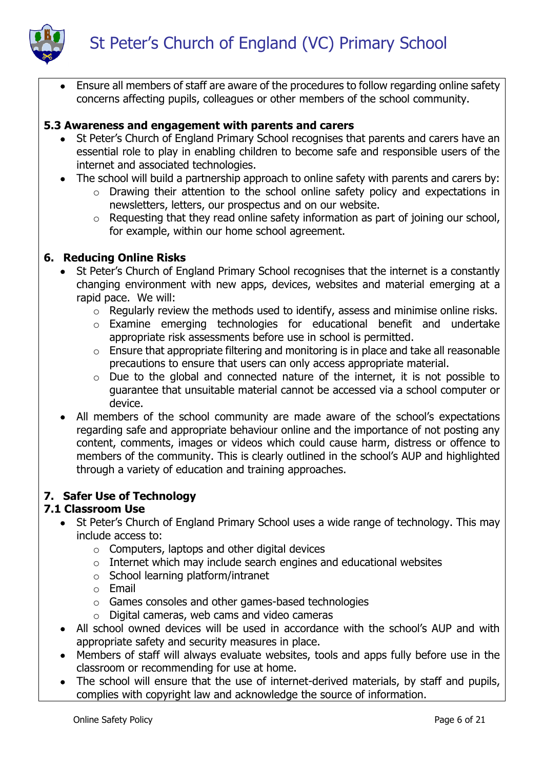



 Ensure all members of staff are aware of the procedures to follow regarding online safety concerns affecting pupils, colleagues or other members of the school community.

### **5.3 Awareness and engagement with parents and carers**

- St Peter's Church of England Primary School recognises that parents and carers have an essential role to play in enabling children to become safe and responsible users of the internet and associated technologies.
- The school will build a partnership approach to online safety with parents and carers by:
	- o Drawing their attention to the school online safety policy and expectations in newsletters, letters, our prospectus and on our website.
	- o Requesting that they read online safety information as part of joining our school, for example, within our home school agreement.

### **6. Reducing Online Risks**

- St Peter's Church of England Primary School recognises that the internet is a constantly changing environment with new apps, devices, websites and material emerging at a rapid pace. We will:
	- o Regularly review the methods used to identify, assess and minimise online risks.
	- o Examine emerging technologies for educational benefit and undertake appropriate risk assessments before use in school is permitted.
	- o Ensure that appropriate filtering and monitoring is in place and take all reasonable precautions to ensure that users can only access appropriate material.
	- o Due to the global and connected nature of the internet, it is not possible to guarantee that unsuitable material cannot be accessed via a school computer or device.
- All members of the school community are made aware of the school's expectations regarding safe and appropriate behaviour online and the importance of not posting any content, comments, images or videos which could cause harm, distress or offence to members of the community. This is clearly outlined in the school's AUP and highlighted through a variety of education and training approaches.

## **7. Safer Use of Technology**

### **7.1 Classroom Use**

- St Peter's Church of England Primary School uses a wide range of technology. This may include access to:
	- o Computers, laptops and other digital devices
	- o Internet which may include search engines and educational websites
	- o School learning platform/intranet
	- o Email
	- o Games consoles and other games-based technologies
	- $\circ$  Digital cameras, web cams and video cameras
- All school owned devices will be used in accordance with the school's AUP and with appropriate safety and security measures in place.
- Members of staff will always evaluate websites, tools and apps fully before use in the classroom or recommending for use at home.
- The school will ensure that the use of internet-derived materials, by staff and pupils, complies with copyright law and acknowledge the source of information.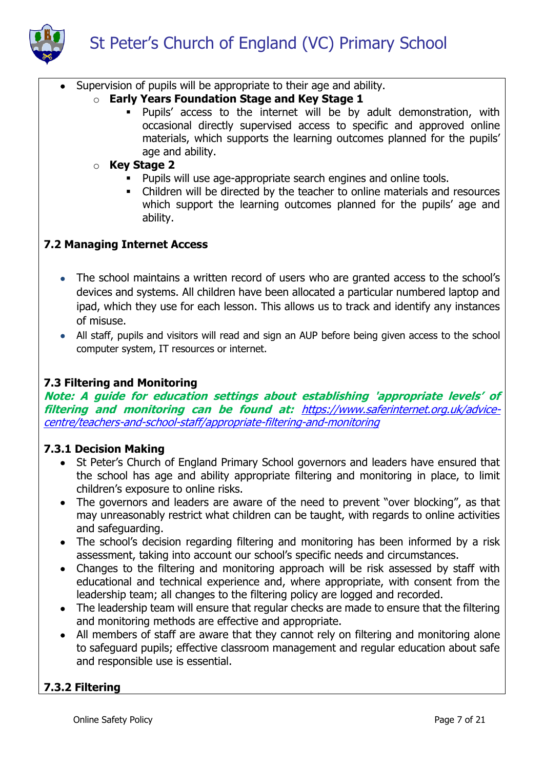

- Supervision of pupils will be appropriate to their age and ability.
	- o **Early Years Foundation Stage and Key Stage 1**
		- Pupils' access to the internet will be by adult demonstration, with occasional directly supervised access to specific and approved online materials, which supports the learning outcomes planned for the pupils' age and ability.
	- o **Key Stage 2** 
		- Pupils will use age-appropriate search engines and online tools.
		- Children will be directed by the teacher to online materials and resources which support the learning outcomes planned for the pupils' age and ability.

### **7.2 Managing Internet Access**

- The school maintains a written record of users who are granted access to the school's devices and systems. All children have been allocated a particular numbered laptop and ipad, which they use for each lesson. This allows us to track and identify any instances of misuse.
- All staff, pupils and visitors will read and sign an AUP before being given access to the school computer system, IT resources or internet.

### **7.3 Filtering and Monitoring**

**Note: A guide for education settings about establishing 'appropriate levels' of filtering and monitoring can be found at:** [https://www.saferinternet.org.uk/advice](https://www.saferinternet.org.uk/advice-centre/teachers-and-school-staff/appropriate-filtering-and-monitoring)[centre/teachers-and-school-staff/appropriate-filtering-and-monitoring](https://www.saferinternet.org.uk/advice-centre/teachers-and-school-staff/appropriate-filtering-and-monitoring)

### **7.3.1 Decision Making**

- St Peter's Church of England Primary School governors and leaders have ensured that the school has age and ability appropriate filtering and monitoring in place, to limit children's exposure to online risks.
- The governors and leaders are aware of the need to prevent "over blocking", as that may unreasonably restrict what children can be taught, with regards to online activities and safeguarding.
- The school's decision regarding filtering and monitoring has been informed by a risk assessment, taking into account our school's specific needs and circumstances.
- Changes to the filtering and monitoring approach will be risk assessed by staff with educational and technical experience and, where appropriate, with consent from the leadership team; all changes to the filtering policy are logged and recorded.
- The leadership team will ensure that regular checks are made to ensure that the filtering and monitoring methods are effective and appropriate.
- All members of staff are aware that they cannot rely on filtering and monitoring alone to safeguard pupils; effective classroom management and regular education about safe and responsible use is essential.

## **7.3.2 Filtering**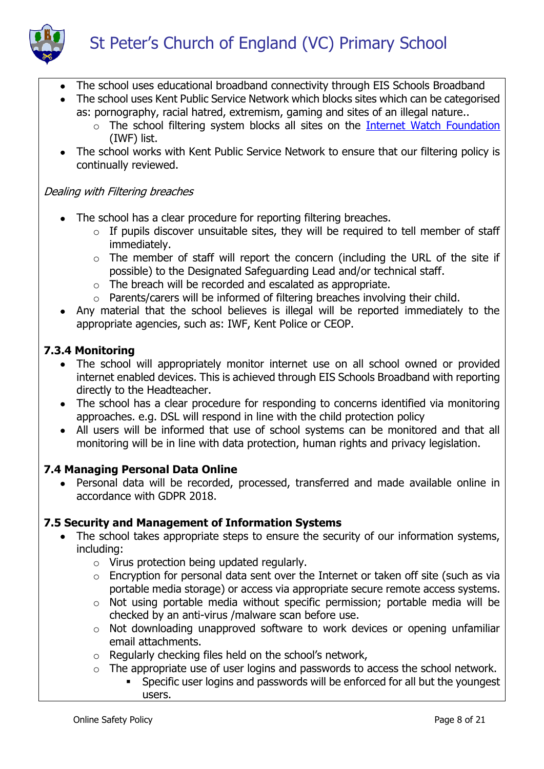

- The school uses educational broadband connectivity through EIS Schools Broadband
- The school uses Kent Public Service Network which blocks sites which can be categorised as: pornography, racial hatred, extremism, gaming and sites of an illegal nature..
	- o The school filtering system blocks all sites on the [Internet Watch Foundation](https://www.iwf.org.uk/) (IWF) list.
- The school works with Kent Public Service Network to ensure that our filtering policy is continually reviewed.

### Dealing with Filtering breaches

- The school has a clear procedure for reporting filtering breaches.
	- $\circ$  If pupils discover unsuitable sites, they will be required to tell member of staff immediately.
	- o The member of staff will report the concern (including the URL of the site if possible) to the Designated Safeguarding Lead and/or technical staff.
	- o The breach will be recorded and escalated as appropriate.
	- o Parents/carers will be informed of filtering breaches involving their child.
- Any material that the school believes is illegal will be reported immediately to the appropriate agencies, such as: IWF, Kent Police or CEOP.

## **7.3.4 Monitoring**

- The school will appropriately monitor internet use on all school owned or provided internet enabled devices. This is achieved through EIS Schools Broadband with reporting directly to the Headteacher.
- The school has a clear procedure for responding to concerns identified via monitoring approaches. e.g. DSL will respond in line with the child protection policy
- All users will be informed that use of school systems can be monitored and that all monitoring will be in line with data protection, human rights and privacy legislation.

## **7.4 Managing Personal Data Online**

 Personal data will be recorded, processed, transferred and made available online in accordance with GDPR 2018.

## **7.5 Security and Management of Information Systems**

- The school takes appropriate steps to ensure the security of our information systems, including:
	- o Virus protection being updated regularly.
	- o Encryption for personal data sent over the Internet or taken off site (such as via portable media storage) or access via appropriate secure remote access systems.
	- o Not using portable media without specific permission; portable media will be checked by an anti-virus /malware scan before use.
	- o Not downloading unapproved software to work devices or opening unfamiliar email attachments.
	- o Regularly checking files held on the school's network,
	- o The appropriate use of user logins and passwords to access the school network.
		- Specific user logins and passwords will be enforced for all but the youngest users.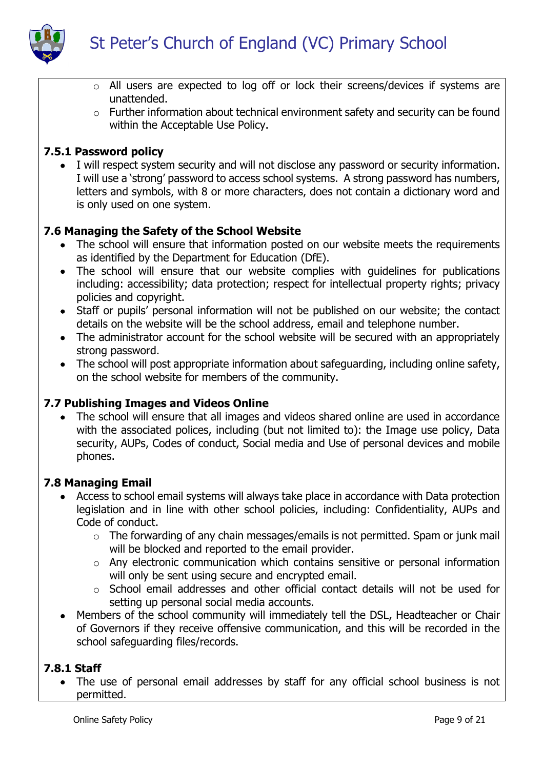

- o All users are expected to log off or lock their screens/devices if systems are unattended.
- o Further information about technical environment safety and security can be found within the Acceptable Use Policy.

## **7.5.1 Password policy**

 I will respect system security and will not disclose any password or security information. I will use a 'strong' password to access school systems. A strong password has numbers, letters and symbols, with 8 or more characters, does not contain a dictionary word and is only used on one system.

## **7.6 Managing the Safety of the School Website**

- The school will ensure that information posted on our website meets the requirements as identified by the Department for Education (DfE).
- The school will ensure that our website complies with quidelines for publications including: accessibility; data protection; respect for intellectual property rights; privacy policies and copyright.
- Staff or pupils' personal information will not be published on our website; the contact details on the website will be the school address, email and telephone number.
- The administrator account for the school website will be secured with an appropriately strong password.
- The school will post appropriate information about safeguarding, including online safety, on the school website for members of the community.

## **7.7 Publishing Images and Videos Online**

• The school will ensure that all images and videos shared online are used in accordance with the associated polices, including (but not limited to): the Image use policy, Data security, AUPs, Codes of conduct, Social media and Use of personal devices and mobile phones.

### **7.8 Managing Email**

- Access to school email systems will always take place in accordance with Data protection legislation and in line with other school policies, including: Confidentiality, AUPs and Code of conduct.
	- o The forwarding of any chain messages/emails is not permitted. Spam or junk mail will be blocked and reported to the email provider.
	- o Any electronic communication which contains sensitive or personal information will only be sent using secure and encrypted email.
	- o School email addresses and other official contact details will not be used for setting up personal social media accounts.
- Members of the school community will immediately tell the DSL, Headteacher or Chair of Governors if they receive offensive communication, and this will be recorded in the school safeguarding files/records.

## **7.8.1 Staff**

• The use of personal email addresses by staff for any official school business is not permitted.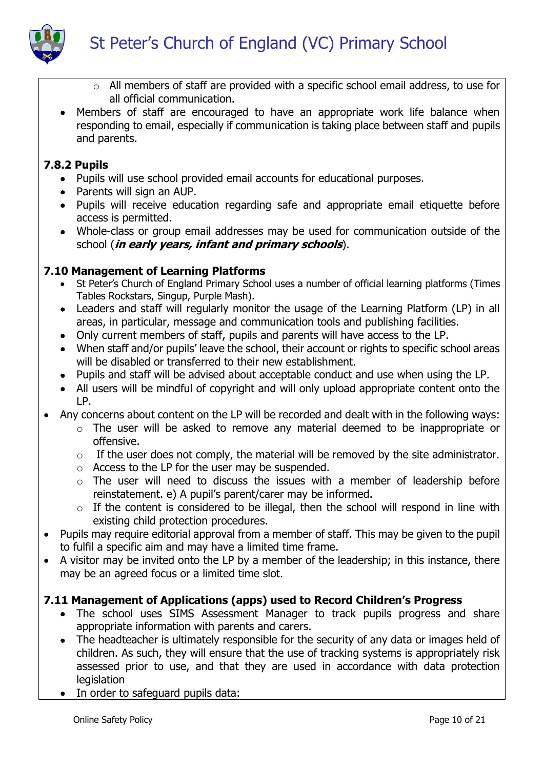

- o All members of staff are provided with a specific school email address, to use for all official communication.
- Members of staff are encouraged to have an appropriate work life balance when responding to email, especially if communication is taking place between staff and pupils and parents.

## **7.8.2 Pupils**

- Pupils will use school provided email accounts for educational purposes.
- Parents will sign an AUP.
- Pupils will receive education regarding safe and appropriate email etiquette before access is permitted.
- Whole-class or group email addresses may be used for communication outside of the school (**in early years, infant and primary schools**).

## **7.10 Management of Learning Platforms**

- St Peter's Church of England Primary School uses a number of official learning platforms (Times Tables Rockstars, Singup, Purple Mash).
- Leaders and staff will regularly monitor the usage of the Learning Platform (LP) in all areas, in particular, message and communication tools and publishing facilities.
- Only current members of staff, pupils and parents will have access to the LP.
- When staff and/or pupils' leave the school, their account or rights to specific school areas will be disabled or transferred to their new establishment.
- Pupils and staff will be advised about acceptable conduct and use when using the LP.
- All users will be mindful of copyright and will only upload appropriate content onto the LP.
- Any concerns about content on the LP will be recorded and dealt with in the following ways:
	- o The user will be asked to remove any material deemed to be inappropriate or offensive.
		- $\circ$  If the user does not comply, the material will be removed by the site administrator.
		- o Access to the LP for the user may be suspended.
		- o The user will need to discuss the issues with a member of leadership before reinstatement. e) A pupil's parent/carer may be informed.
		- $\circ$  If the content is considered to be illegal, then the school will respond in line with existing child protection procedures.
- Pupils may require editorial approval from a member of staff. This may be given to the pupil to fulfil a specific aim and may have a limited time frame.
- A visitor may be invited onto the LP by a member of the leadership; in this instance, there may be an agreed focus or a limited time slot.

# **7.11 Management of Applications (apps) used to Record Children's Progress**

- The school uses SIMS Assessment Manager to track pupils progress and share appropriate information with parents and carers.
- The headteacher is ultimately responsible for the security of any data or images held of children. As such, they will ensure that the use of tracking systems is appropriately risk assessed prior to use, and that they are used in accordance with data protection **legislation**
- In order to safeguard pupils data: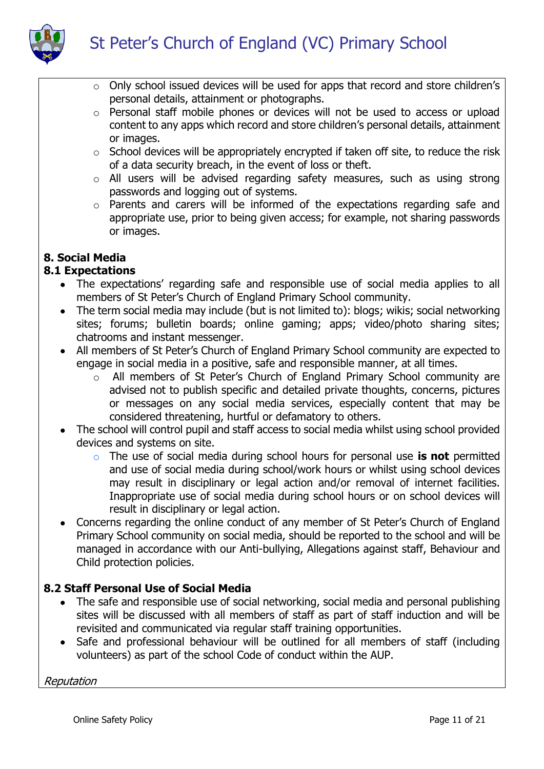

- o Only school issued devices will be used for apps that record and store children's personal details, attainment or photographs.
- o Personal staff mobile phones or devices will not be used to access or upload content to any apps which record and store children's personal details, attainment or images.
- o School devices will be appropriately encrypted if taken off site, to reduce the risk of a data security breach, in the event of loss or theft.
- o All users will be advised regarding safety measures, such as using strong passwords and logging out of systems.
- o Parents and carers will be informed of the expectations regarding safe and appropriate use, prior to being given access; for example, not sharing passwords or images.

# **8. Social Media**

# **8.1 Expectations**

- The expectations' regarding safe and responsible use of social media applies to all members of St Peter's Church of England Primary School community.
- The term social media may include (but is not limited to): blogs; wikis; social networking sites; forums; bulletin boards; online gaming; apps; video/photo sharing sites; chatrooms and instant messenger.
- All members of St Peter's Church of England Primary School community are expected to engage in social media in a positive, safe and responsible manner, at all times.
	- o All members of St Peter's Church of England Primary School community are advised not to publish specific and detailed private thoughts, concerns, pictures or messages on any social media services, especially content that may be considered threatening, hurtful or defamatory to others.
- The school will control pupil and staff access to social media whilst using school provided devices and systems on site.
	- o The use of social media during school hours for personal use **is not** permitted and use of social media during school/work hours or whilst using school devices may result in disciplinary or legal action and/or removal of internet facilities. Inappropriate use of social media during school hours or on school devices will result in disciplinary or legal action.
- Concerns regarding the online conduct of any member of St Peter's Church of England Primary School community on social media, should be reported to the school and will be managed in accordance with our Anti-bullying, Allegations against staff, Behaviour and Child protection policies.

# **8.2 Staff Personal Use of Social Media**

- The safe and responsible use of social networking, social media and personal publishing sites will be discussed with all members of staff as part of staff induction and will be revisited and communicated via regular staff training opportunities.
- Safe and professional behaviour will be outlined for all members of staff (including volunteers) as part of the school Code of conduct within the AUP.

Reputation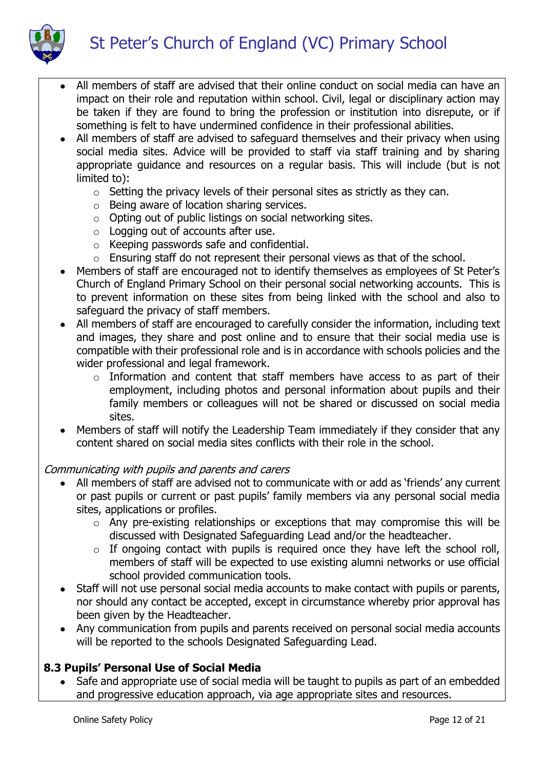St Peter's Church of England (VC) Primary School



- All members of staff are advised that their online conduct on social media can have an impact on their role and reputation within school. Civil, legal or disciplinary action may be taken if they are found to bring the profession or institution into disrepute, or if something is felt to have undermined confidence in their professional abilities.
- All members of staff are advised to safeguard themselves and their privacy when using social media sites. Advice will be provided to staff via staff training and by sharing appropriate guidance and resources on a regular basis. This will include (but is not limited to):
	- o Setting the privacy levels of their personal sites as strictly as they can.
	- o Being aware of location sharing services.
	- o Opting out of public listings on social networking sites.
	- $\circ$  Logging out of accounts after use.
	- o Keeping passwords safe and confidential.
	- o Ensuring staff do not represent their personal views as that of the school.
- Members of staff are encouraged not to identify themselves as employees of St Peter's Church of England Primary School on their personal social networking accounts. This is to prevent information on these sites from being linked with the school and also to safeguard the privacy of staff members.
- All members of staff are encouraged to carefully consider the information, including text and images, they share and post online and to ensure that their social media use is compatible with their professional role and is in accordance with schools policies and the wider professional and legal framework.
	- o Information and content that staff members have access to as part of their employment, including photos and personal information about pupils and their family members or colleagues will not be shared or discussed on social media sites.
- Members of staff will notify the Leadership Team immediately if they consider that any content shared on social media sites conflicts with their role in the school.

## Communicating with pupils and parents and carers

- All members of staff are advised not to communicate with or add as 'friends' any current or past pupils or current or past pupils' family members via any personal social media sites, applications or profiles.
	- o Any pre-existing relationships or exceptions that may compromise this will be discussed with Designated Safeguarding Lead and/or the headteacher.
	- $\circ$  If ongoing contact with pupils is required once they have left the school roll, members of staff will be expected to use existing alumni networks or use official school provided communication tools.
- Staff will not use personal social media accounts to make contact with pupils or parents, nor should any contact be accepted, except in circumstance whereby prior approval has been given by the Headteacher.
- Any communication from pupils and parents received on personal social media accounts will be reported to the schools Designated Safeguarding Lead.

# **8.3 Pupils' Personal Use of Social Media**

• Safe and appropriate use of social media will be taught to pupils as part of an embedded and progressive education approach, via age appropriate sites and resources.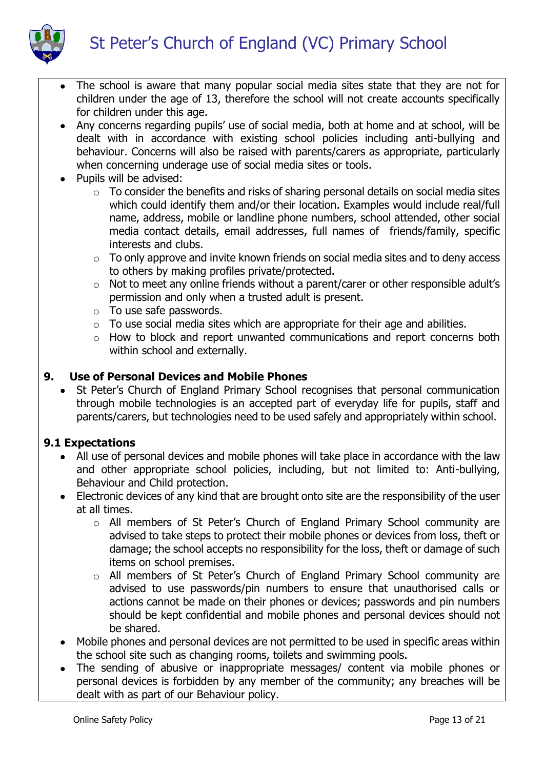St Peter's Church of England (VC) Primary School



- The school is aware that many popular social media sites state that they are not for children under the age of 13, therefore the school will not create accounts specifically for children under this age.
- Any concerns regarding pupils' use of social media, both at home and at school, will be dealt with in accordance with existing school policies including anti-bullying and behaviour. Concerns will also be raised with parents/carers as appropriate, particularly when concerning underage use of social media sites or tools.
- Pupils will be advised:
	- $\circ$  To consider the benefits and risks of sharing personal details on social media sites which could identify them and/or their location. Examples would include real/full name, address, mobile or landline phone numbers, school attended, other social media contact details, email addresses, full names of friends/family, specific interests and clubs.
	- $\circ$  To only approve and invite known friends on social media sites and to deny access to others by making profiles private/protected.
	- o Not to meet any online friends without a parent/carer or other responsible adult's permission and only when a trusted adult is present.
	- o To use safe passwords.
	- $\circ$  To use social media sites which are appropriate for their age and abilities.
	- o How to block and report unwanted communications and report concerns both within school and externally.

### **9. Use of Personal Devices and Mobile Phones**

• St Peter's Church of England Primary School recognises that personal communication through mobile technologies is an accepted part of everyday life for pupils, staff and parents/carers, but technologies need to be used safely and appropriately within school.

## **9.1 Expectations**

- All use of personal devices and mobile phones will take place in accordance with the law and other appropriate school policies, including, but not limited to: Anti-bullying, Behaviour and Child protection.
- Electronic devices of any kind that are brought onto site are the responsibility of the user at all times.
	- o All members of St Peter's Church of England Primary School community are advised to take steps to protect their mobile phones or devices from loss, theft or damage; the school accepts no responsibility for the loss, theft or damage of such items on school premises.
	- o All members of St Peter's Church of England Primary School community are advised to use passwords/pin numbers to ensure that unauthorised calls or actions cannot be made on their phones or devices; passwords and pin numbers should be kept confidential and mobile phones and personal devices should not be shared.
- Mobile phones and personal devices are not permitted to be used in specific areas within the school site such as changing rooms, toilets and swimming pools.
- The sending of abusive or inappropriate messages/ content via mobile phones or personal devices is forbidden by any member of the community; any breaches will be dealt with as part of our Behaviour policy.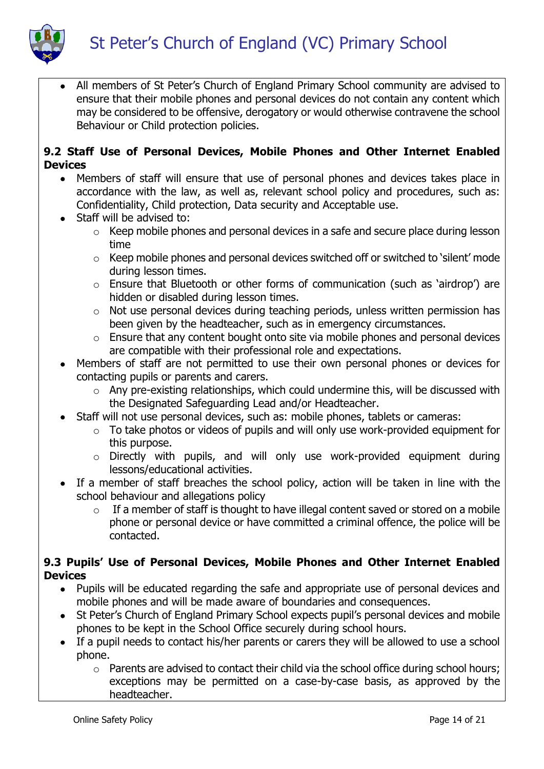

 All members of St Peter's Church of England Primary School community are advised to ensure that their mobile phones and personal devices do not contain any content which may be considered to be offensive, derogatory or would otherwise contravene the school Behaviour or Child protection policies.

### **9.2 Staff Use of Personal Devices, Mobile Phones and Other Internet Enabled Devices**

- Members of staff will ensure that use of personal phones and devices takes place in accordance with the law, as well as, relevant school policy and procedures, such as: Confidentiality, Child protection, Data security and Acceptable use.
- Staff will be advised to:
	- o Keep mobile phones and personal devices in a safe and secure place during lesson time
	- o Keep mobile phones and personal devices switched off or switched to 'silent' mode during lesson times.
	- o Ensure that Bluetooth or other forms of communication (such as 'airdrop') are hidden or disabled during lesson times.
	- o Not use personal devices during teaching periods, unless written permission has been given by the headteacher, such as in emergency circumstances.
	- $\circ$  Ensure that any content bought onto site via mobile phones and personal devices are compatible with their professional role and expectations.
- Members of staff are not permitted to use their own personal phones or devices for contacting pupils or parents and carers.
	- o Any pre-existing relationships, which could undermine this, will be discussed with the Designated Safeguarding Lead and/or Headteacher.
- Staff will not use personal devices, such as: mobile phones, tablets or cameras:
	- o To take photos or videos of pupils and will only use work-provided equipment for this purpose.
	- o Directly with pupils, and will only use work-provided equipment during lessons/educational activities.
- If a member of staff breaches the school policy, action will be taken in line with the school behaviour and allegations policy
	- $\circ$  If a member of staff is thought to have illegal content saved or stored on a mobile phone or personal device or have committed a criminal offence, the police will be contacted.

## **9.3 Pupils' Use of Personal Devices, Mobile Phones and Other Internet Enabled Devices**

- Pupils will be educated regarding the safe and appropriate use of personal devices and mobile phones and will be made aware of boundaries and consequences.
- St Peter's Church of England Primary School expects pupil's personal devices and mobile phones to be kept in the School Office securely during school hours.
- If a pupil needs to contact his/her parents or carers they will be allowed to use a school phone.
	- o Parents are advised to contact their child via the school office during school hours; exceptions may be permitted on a case-by-case basis, as approved by the headteacher.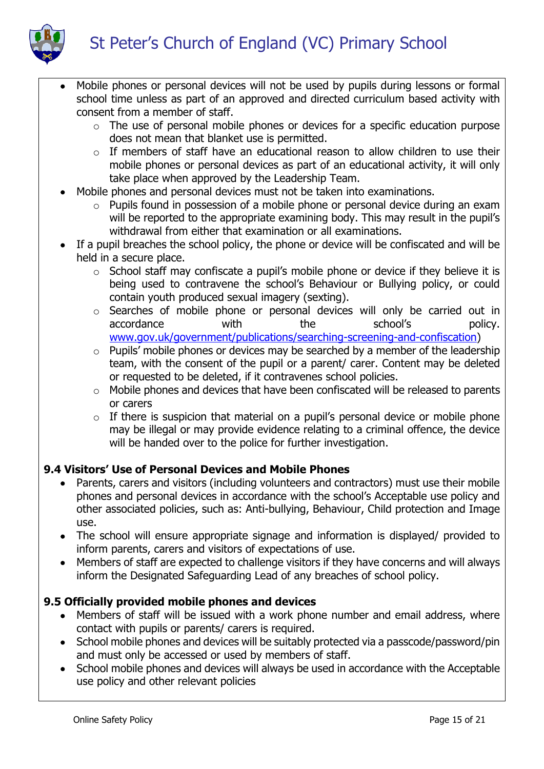

- Mobile phones or personal devices will not be used by pupils during lessons or formal school time unless as part of an approved and directed curriculum based activity with consent from a member of staff.
	- o The use of personal mobile phones or devices for a specific education purpose does not mean that blanket use is permitted.
	- $\circ$  If members of staff have an educational reason to allow children to use their mobile phones or personal devices as part of an educational activity, it will only take place when approved by the Leadership Team.
- Mobile phones and personal devices must not be taken into examinations.
	- o Pupils found in possession of a mobile phone or personal device during an exam will be reported to the appropriate examining body. This may result in the pupil's withdrawal from either that examination or all examinations.
- If a pupil breaches the school policy, the phone or device will be confiscated and will be held in a secure place.
	- o School staff may confiscate a pupil's mobile phone or device if they believe it is being used to contravene the school's Behaviour or Bullying policy, or could contain youth produced sexual imagery (sexting).
	- o Searches of mobile phone or personal devices will only be carried out in accordance with the school's policy. [www.gov.uk/government/publications/searching-screening-and-confiscation\)](http://www.gov.uk/government/publications/searching-screening-and-confiscation)
	- $\circ$  Pupils' mobile phones or devices may be searched by a member of the leadership team, with the consent of the pupil or a parent/ carer. Content may be deleted or requested to be deleted, if it contravenes school policies.
	- o Mobile phones and devices that have been confiscated will be released to parents or carers
	- $\circ$  If there is suspicion that material on a pupil's personal device or mobile phone may be illegal or may provide evidence relating to a criminal offence, the device will be handed over to the police for further investigation.

# **9.4 Visitors' Use of Personal Devices and Mobile Phones**

- Parents, carers and visitors (including volunteers and contractors) must use their mobile phones and personal devices in accordance with the school's Acceptable use policy and other associated policies, such as: Anti-bullying, Behaviour, Child protection and Image use.
- The school will ensure appropriate signage and information is displayed/ provided to inform parents, carers and visitors of expectations of use.
- Members of staff are expected to challenge visitors if they have concerns and will always inform the Designated Safeguarding Lead of any breaches of school policy.

# **9.5 Officially provided mobile phones and devices**

- Members of staff will be issued with a work phone number and email address, where contact with pupils or parents/ carers is required.
- School mobile phones and devices will be suitably protected via a passcode/password/pin and must only be accessed or used by members of staff.
- School mobile phones and devices will always be used in accordance with the Acceptable use policy and other relevant policies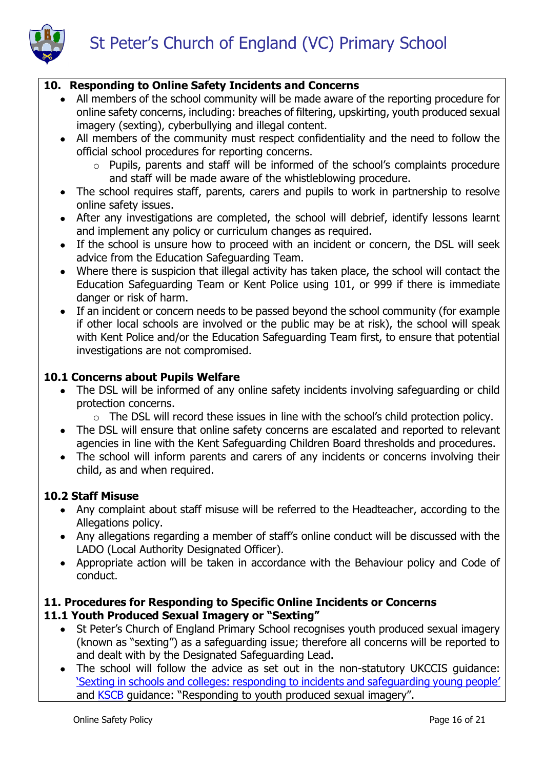

## **10. Responding to Online Safety Incidents and Concerns**

- All members of the school community will be made aware of the reporting procedure for online safety concerns, including: breaches of filtering, upskirting, youth produced sexual imagery (sexting), cyberbullying and illegal content.
- All members of the community must respect confidentiality and the need to follow the official school procedures for reporting concerns.
	- o Pupils, parents and staff will be informed of the school's complaints procedure and staff will be made aware of the whistleblowing procedure.
- The school requires staff, parents, carers and pupils to work in partnership to resolve online safety issues.
- After any investigations are completed, the school will debrief, identify lessons learnt and implement any policy or curriculum changes as required.
- If the school is unsure how to proceed with an incident or concern, the DSL will seek advice from the Education Safeguarding Team.
- Where there is suspicion that illegal activity has taken place, the school will contact the Education Safeguarding Team or Kent Police using 101, or 999 if there is immediate danger or risk of harm.
- If an incident or concern needs to be passed beyond the school community (for example if other local schools are involved or the public may be at risk), the school will speak with Kent Police and/or the Education Safeguarding Team first, to ensure that potential investigations are not compromised.

## **10.1 Concerns about Pupils Welfare**

- The DSL will be informed of any online safety incidents involving safeguarding or child protection concerns.
	- o The DSL will record these issues in line with the school's child protection policy.
- The DSL will ensure that online safety concerns are escalated and reported to relevant agencies in line with the Kent Safeguarding Children Board thresholds and procedures.
- The school will inform parents and carers of any incidents or concerns involving their child, as and when required.

## **10.2 Staff Misuse**

- Any complaint about staff misuse will be referred to the Headteacher, according to the Allegations policy.
- Any allegations regarding a member of staff's online conduct will be discussed with the LADO (Local Authority Designated Officer).
- Appropriate action will be taken in accordance with the Behaviour policy and Code of conduct.

# **11. Procedures for Responding to Specific Online Incidents or Concerns**

# **11.1 Youth Produced Sexual Imagery or "Sexting"**

- St Peter's Church of England Primary School recognises youth produced sexual imagery (known as "sexting") as a safeguarding issue; therefore all concerns will be reported to and dealt with by the Designated Safeguarding Lead.
- The school will follow the advice as set out in the non-statutory UKCCIS guidance: '[Sexting in schools and colleges: responding to incidents and safeguarding y](https://www.gov.uk/government/groups/uk-council-for-child-internet-safety-ukccis)oung people' and [KSCB](http://www.kscb.org.uk/guidance/online-safety) guidance: "Responding to youth produced sexual imagery".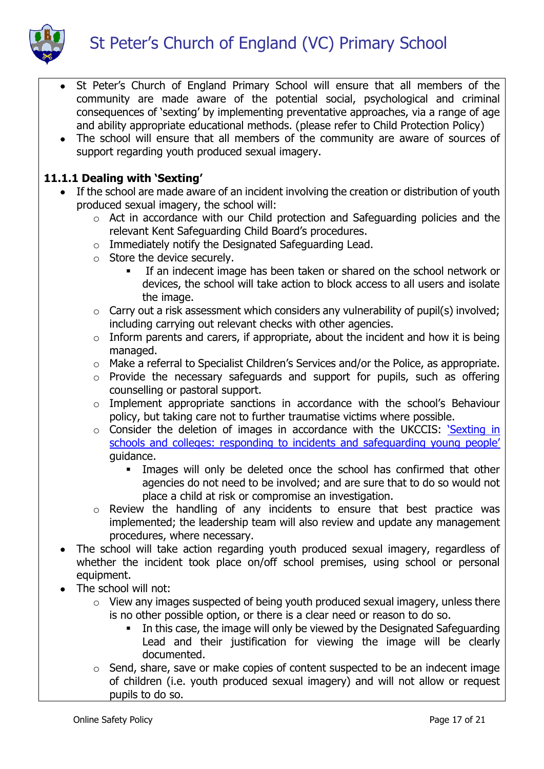

- St Peter's Church of England Primary School will ensure that all members of the community are made aware of the potential social, psychological and criminal consequences of 'sexting' by implementing preventative approaches, via a range of age and ability appropriate educational methods. (please refer to Child Protection Policy)
- The school will ensure that all members of the community are aware of sources of support regarding youth produced sexual imagery.

## **11.1.1 Dealing with 'Sexting'**

- If the school are made aware of an incident involving the creation or distribution of youth produced sexual imagery, the school will:
	- o Act in accordance with our Child protection and Safeguarding policies and the relevant Kent Safeguarding Child Board's procedures.
	- o Immediately notify the Designated Safeguarding Lead.
	- o Store the device securely.
		- If an indecent image has been taken or shared on the school network or devices, the school will take action to block access to all users and isolate the image.
	- o Carry out a risk assessment which considers any vulnerability of pupil(s) involved; including carrying out relevant checks with other agencies.
	- $\circ$  Inform parents and carers, if appropriate, about the incident and how it is being managed.
	- o Make a referral to Specialist Children's Services and/or the Police, as appropriate.
	- o Provide the necessary safeguards and support for pupils, such as offering counselling or pastoral support.
	- o Implement appropriate sanctions in accordance with the school's Behaviour policy, but taking care not to further traumatise victims where possible.
	- o Consider the deletion of images in accordance with the UKCCIS: '[Sexting in](https://www.gov.uk/government/groups/uk-council-for-child-internet-safety-ukccis)  [schools and colleges: responding to incidents and safeguarding young people'](https://www.gov.uk/government/groups/uk-council-for-child-internet-safety-ukccis) guidance.
		- Images will only be deleted once the school has confirmed that other agencies do not need to be involved; and are sure that to do so would not place a child at risk or compromise an investigation.
	- o Review the handling of any incidents to ensure that best practice was implemented; the leadership team will also review and update any management procedures, where necessary.
- The school will take action regarding youth produced sexual imagery, regardless of whether the incident took place on/off school premises, using school or personal equipment.
- The school will not:
	- o View any images suspected of being youth produced sexual imagery, unless there is no other possible option, or there is a clear need or reason to do so.
		- In this case, the image will only be viewed by the Designated Safeguarding Lead and their justification for viewing the image will be clearly documented.
	- $\circ$  Send, share, save or make copies of content suspected to be an indecent image of children (i.e. youth produced sexual imagery) and will not allow or request pupils to do so.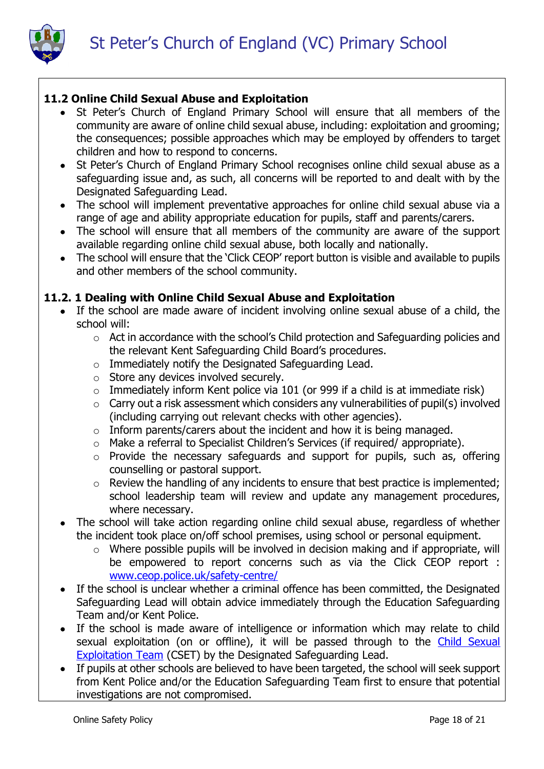



### **11.2 Online Child Sexual Abuse and Exploitation**

- St Peter's Church of England Primary School will ensure that all members of the community are aware of online child sexual abuse, including: exploitation and grooming; the consequences; possible approaches which may be employed by offenders to target children and how to respond to concerns.
- St Peter's Church of England Primary School recognises online child sexual abuse as a safeguarding issue and, as such, all concerns will be reported to and dealt with by the Designated Safeguarding Lead.
- The school will implement preventative approaches for online child sexual abuse via a range of age and ability appropriate education for pupils, staff and parents/carers.
- The school will ensure that all members of the community are aware of the support available regarding online child sexual abuse, both locally and nationally.
- The school will ensure that the 'Click CEOP' report button is visible and available to pupils and other members of the school community.

### **11.2. 1 Dealing with Online Child Sexual Abuse and Exploitation**

- If the school are made aware of incident involving online sexual abuse of a child, the school will:
	- o Act in accordance with the school's Child protection and Safeguarding policies and the relevant Kent Safeguarding Child Board's procedures.
	- o Immediately notify the Designated Safeguarding Lead.
	- o Store any devices involved securely.
	- $\circ$  Immediately inform Kent police via 101 (or 999 if a child is at immediate risk)
	- o Carry out a risk assessment which considers any vulnerabilities of pupil(s) involved (including carrying out relevant checks with other agencies).
	- $\circ$  Inform parents/carers about the incident and how it is being managed.
	- o Make a referral to Specialist Children's Services (if required/ appropriate).
	- o Provide the necessary safeguards and support for pupils, such as, offering counselling or pastoral support.
	- o Review the handling of any incidents to ensure that best practice is implemented; school leadership team will review and update any management procedures, where necessary.
- The school will take action regarding online child sexual abuse, regardless of whether the incident took place on/off school premises, using school or personal equipment.
	- o Where possible pupils will be involved in decision making and if appropriate, will be empowered to report concerns such as via the Click CEOP report : [www.ceop.police.uk/safety-centre/](http://www.ceop.police.uk/safety-centre/)
- If the school is unclear whether a criminal offence has been committed, the Designated Safeguarding Lead will obtain advice immediately through the Education Safeguarding Team and/or Kent Police.
- If the school is made aware of intelligence or information which may relate to child sexual exploitation (on or offline), it will be passed through to the Child Sexual [Exploitation Team](https://www.kent.police.uk/childabuse/) (CSET) by the Designated Safeguarding Lead.
- If pupils at other schools are believed to have been targeted, the school will seek support from Kent Police and/or the Education Safeguarding Team first to ensure that potential investigations are not compromised.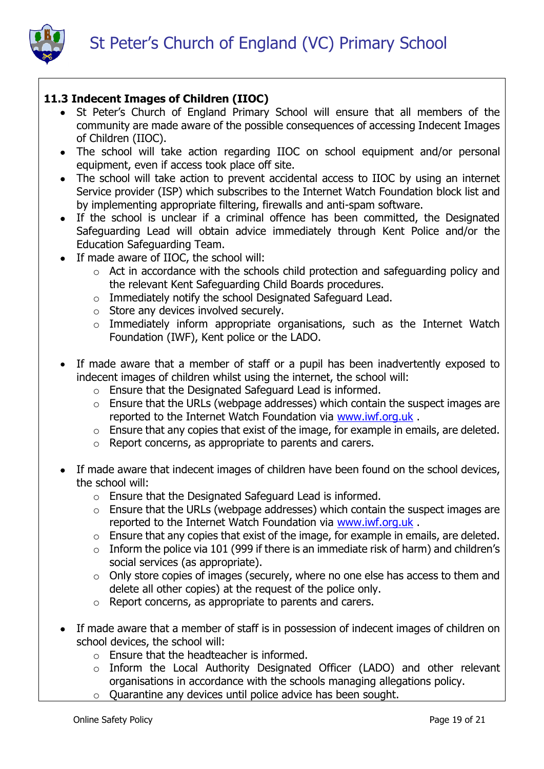

## **11.3 Indecent Images of Children (IIOC)**

- St Peter's Church of England Primary School will ensure that all members of the community are made aware of the possible consequences of accessing Indecent Images of Children (IIOC).
- The school will take action regarding IIOC on school equipment and/or personal equipment, even if access took place off site.
- The school will take action to prevent accidental access to IIOC by using an internet Service provider (ISP) which subscribes to the Internet Watch Foundation block list and by implementing appropriate filtering, firewalls and anti-spam software.
- If the school is unclear if a criminal offence has been committed, the Designated Safeguarding Lead will obtain advice immediately through Kent Police and/or the Education Safeguarding Team.
- If made aware of IIOC, the school will:
	- o Act in accordance with the schools child protection and safeguarding policy and the relevant Kent Safeguarding Child Boards procedures.
	- o Immediately notify the school Designated Safeguard Lead.
	- o Store any devices involved securely.
	- $\circ$  Immediately inform appropriate organisations, such as the Internet Watch Foundation (IWF), Kent police or the LADO.
- If made aware that a member of staff or a pupil has been inadvertently exposed to indecent images of children whilst using the internet, the school will:
	- o Ensure that the Designated Safeguard Lead is informed.
	- o Ensure that the URLs (webpage addresses) which contain the suspect images are reported to the Internet Watch Foundation via [www.iwf.org.uk](https://www.iwf.org.uk/) .
	- o Ensure that any copies that exist of the image, for example in emails, are deleted.
	- o Report concerns, as appropriate to parents and carers.
- If made aware that indecent images of children have been found on the school devices, the school will:
	- o Ensure that the Designated Safeguard Lead is informed.
	- o Ensure that the URLs (webpage addresses) which contain the suspect images are reported to the Internet Watch Foundation via [www.iwf.org.uk](https://www.iwf.org.uk/) .
	- o Ensure that any copies that exist of the image, for example in emails, are deleted.
	- $\circ$  Inform the police via 101 (999 if there is an immediate risk of harm) and children's social services (as appropriate).
	- o Only store copies of images (securely, where no one else has access to them and delete all other copies) at the request of the police only.
	- o Report concerns, as appropriate to parents and carers.
- If made aware that a member of staff is in possession of indecent images of children on school devices, the school will:
	- $\circ$  Ensure that the headteacher is informed.
	- o Inform the Local Authority Designated Officer (LADO) and other relevant organisations in accordance with the schools managing allegations policy.
	- o Quarantine any devices until police advice has been sought.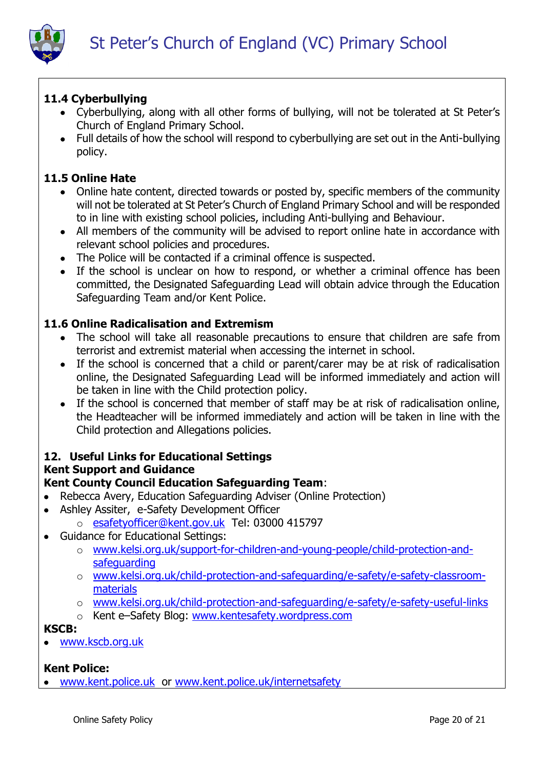

# **11.4 Cyberbullying**

- Cyberbullying, along with all other forms of bullying, will not be tolerated at St Peter's Church of England Primary School.
- Full details of how the school will respond to cyberbullying are set out in the Anti-bullying policy.

## **11.5 Online Hate**

- Online hate content, directed towards or posted by, specific members of the community will not be tolerated at St Peter's Church of England Primary School and will be responded to in line with existing school policies, including Anti-bullying and Behaviour.
- All members of the community will be advised to report online hate in accordance with relevant school policies and procedures.
- The Police will be contacted if a criminal offence is suspected.
- If the school is unclear on how to respond, or whether a criminal offence has been committed, the Designated Safeguarding Lead will obtain advice through the Education Safeguarding Team and/or Kent Police.

## **11.6 Online Radicalisation and Extremism**

- The school will take all reasonable precautions to ensure that children are safe from terrorist and extremist material when accessing the internet in school.
- If the school is concerned that a child or parent/carer may be at risk of radicalisation online, the Designated Safeguarding Lead will be informed immediately and action will be taken in line with the Child protection policy.
- If the school is concerned that member of staff may be at risk of radicalisation online, the Headteacher will be informed immediately and action will be taken in line with the Child protection and Allegations policies.

### **12. Useful Links for Educational Settings Kent Support and Guidance**

## **Kent County Council Education Safeguarding Team**:

- Rebecca Avery, Education Safeguarding Adviser (Online Protection)
- Ashley Assiter, e-Safety Development Officer
	- o [esafetyofficer@kent.gov.uk](mailto:esafetyofficer@kent.gov.uk) Tel: 03000 415797
- Guidance for Educational Settings:
	- o [www.kelsi.org.uk/support-for-children-and-young-people/child-protection-and](http://www.kelsi.org.uk/support-for-children-and-young-people/child-protection-and-safeguarding)[safeguarding](http://www.kelsi.org.uk/support-for-children-and-young-people/child-protection-and-safeguarding)
	- o [www.kelsi.org.uk/child-protection-and-safeguarding/e-safety/e-safety-classroom](http://www.kelsi.org.uk/child-protection-and-safeguarding/e-safety/e-safety-classroom-materials)[materials](http://www.kelsi.org.uk/child-protection-and-safeguarding/e-safety/e-safety-classroom-materials)
	- o [www.kelsi.org.uk/child-protection-and-safeguarding/e-safety/e-safety-useful-links](http://www.kelsi.org.uk/child-protection-and-safeguarding/e-safety/e-safety-useful-links)
	- o Kent e–Safety Blog: [www.kentesafety.wordpress.com](http://www.kentesafety.wordpress.com/)

## **KSCB:**

[www.kscb.org.uk](http://www.kscb.org.uk/)

# **Kent Police:**

[www.kent.police.uk](http://www.kent.police.uk/) or [www.kent.police.uk/internetsafety](http://www.kent.police.uk/internetsafety)